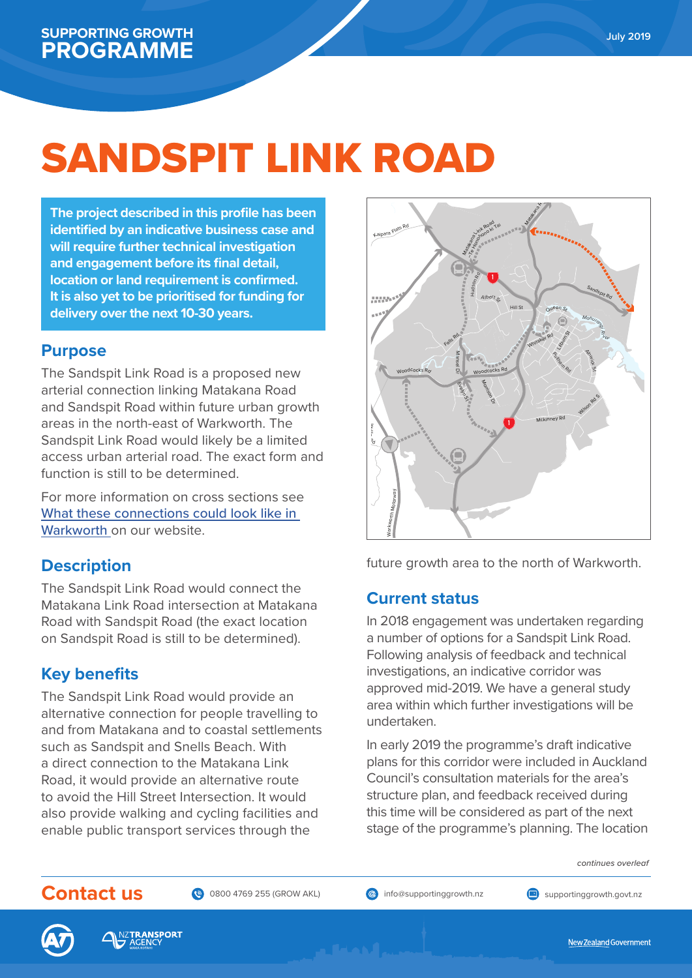Tūh o n future growth area to the north of Warkworth.



## **SUPPORTING GROWTH PROGRAMME** July 2019













New Zealand Government

# SANDSPIT LINK ROAD

*continues overleaf*

### **Purpose**

The Sandspit Link Road is a proposed new arterial connection linking Matakana Road and Sandspit Road within future urban growth areas in the north-east of Warkworth. The Sandspit Link Road would likely be a limited access urban arterial road. The exact form and function is still to be determined.

For more information on cross sections see [What these connections could look like in](https://supportinggrowth.govt.nz/assets/North/cb864cfc44/What-could-these-connections-look-like-in-Warkworth.pdf) 

# **Description**

The Sandspit Link Road would connect the Matakana Link Road intersection at Matakana Road with Sandspit Road (the exact location on Sandspit Road is still to be determined).

# **Key benefits**

The Sandspit Link Road would provide an alternative connection for people travelling to and from Matakana and to coastal settlements such as Sandspit and Snells Beach. With a direct connection to the Matakana Link Road, it would provide an alternative route to avoid the Hill Street Intersection. It would also provide walking and cycling facilities and enable public transport services through the

## **Current status**

In 2018 engagement was undertaken regarding a number of options for a Sandspit Link Road. Following analysis of feedback and technical investigations, an indicative corridor was approved mid-2019. We have a general study area within which further investigations will be undertaken.

In early 2019 the programme's draft indicative plans for this corridor were included in Auckland Council's consultation materials for the area's

structure plan, and feedback received during this time will be considered as part of the next stage of the programme's planning. The location

**The project described in this profile has been identified by an indicative business case and will require further technical investigation and engagement before its final detail, location or land requirement is confirmed. It is also yet to be prioritised for funding for delivery over the next 10-30 years.**